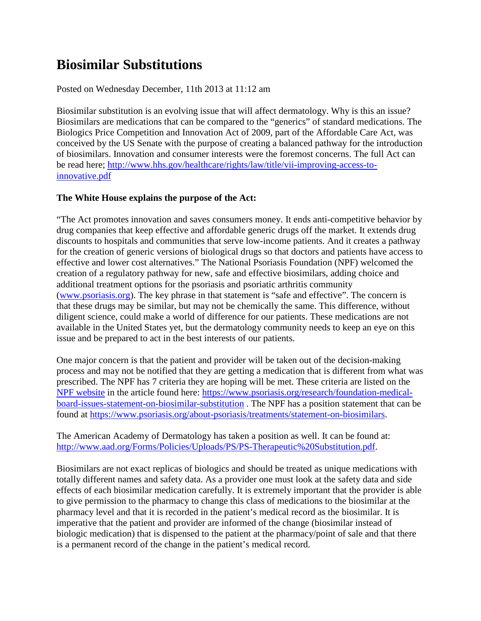## **Biosimilar Substitutions**

## Posted on Wednesday December, 11th 2013 at 11:12 am

Biosimilar substitution is an evolving issue that will affect dermatology. Why is this an issue? Biosimilars are medications that can be compared to the "generics" of standard medications. The Biologics Price Competition and Innovation Act of 2009, part of the Affordable Care Act, was conceived by the US Senate with the purpose of creating a balanced pathway for the introduction of biosimilars. Innovation and consumer interests were the foremost concerns. The full Act can be read here; [http://www.hhs.gov/healthcare/rights/law/title/vii-improving-access-to](http://www.hhs.gov/healthcare/rights/law/title/vii-improving-access-to-innovative.pdf)innovative.pdf

## **The White House explains the purpose of the Act:**

"The Act promotes innovation and saves consumers money. It ends anti-competitive behavior by drug companies that keep effective and affordable generic drugs off the market. It extends drug discounts to hospitals and communities that serve low-income patients. And it creates a pathway for the creation of generic versions of biological drugs so that doctors and patients have access to effective and lower cost alternatives." The National Psoriasis Foundation (NPF) welcomed the creation of a regulatory pathway for new, safe and effective biosimilars, adding choice and additional treatment options for the psoriasis and psoriatic arthritis community [\(www.psoriasis.org\)](http://www.psoriasis.org/). The key phrase in that statement is "safe and effective". The concern is that these drugs may be similar, but may not be chemically the same. This difference, without diligent science, could make a world of difference for our patients. These medications are not available in the United States yet, but the dermatology community needs to keep an eye on this issue and be prepared to act in the best interests of our patients.

One major concern is that the patient and provider will be taken out of the decision-making process and may not be notified that they are getting a medication that is different from what was prescribed. The NPF has 7 criteria they are hoping will be met. These criteria are listed on the [NPF website](http://www.psoriasis.org/) in the article found here: [https://www.psoriasis.org/research/foundation-medical](https://www.psoriasis.org/research/foundation-medical-board-issues-statement-on-biosimilar-substitution)board-issues-statement-on-biosimilar-substitution . The NPF has a position statement that can be found at [https://www.psoriasis.org/about-psoriasis/treatments/statement-on-biosimilars.](https://www.psoriasis.org/about-psoriasis/treatments/statement-on-biosimilars)

The American Academy of Dermatology has taken a position as well. It can be found at: [http://www.aad.org/Forms/Policies/Uploads/PS/PS-Therapeutic%20Substitution.pdf.](http://www.aad.org/Forms/Policies/Uploads/PS/PS-Therapeutic%20Substitution.pdf)

Biosimilars are not exact replicas of biologics and should be treated as unique medications with totally different names and safety data. As a provider one must look at the safety data and side effects of each biosimilar medication carefully. It is extremely important that the provider is able to give permission to the pharmacy to change this class of medications to the biosimilar at the pharmacy level and that it is recorded in the patient's medical record as the biosimilar. It is imperative that the patient and provider are informed of the change (biosimilar instead of biologic medication) that is dispensed to the patient at the pharmacy/point of sale and that there is a permanent record of the change in the patient's medical record.